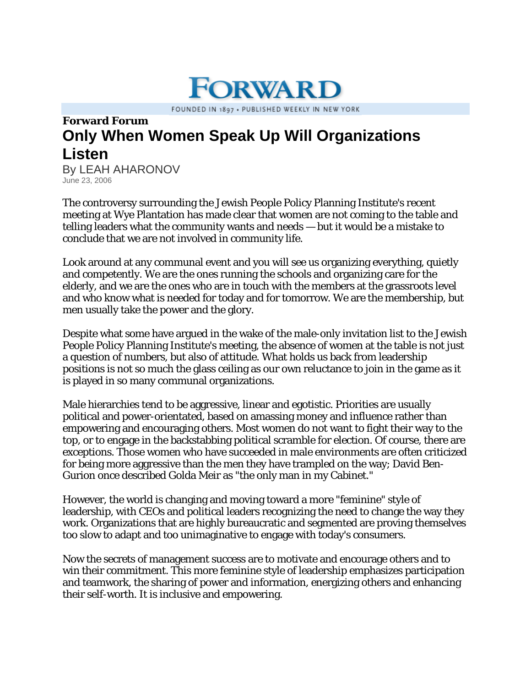FOUNDED IN 1897 . PUBLISHED WEEKLY IN NEW YORK

**FORWARD** 

## **Forward Forum Only When Women Speak Up Will Organizations Listen**

By LEAH AHARONOV June 23, 2006

The controversy surrounding the Jewish People Policy Planning Institute's recent meeting at Wye Plantation has made clear that women are not coming to the table and telling leaders what the community wants and needs — but it would be a mistake to conclude that we are not involved in community life.

Look around at any communal event and you will see us organizing everything, quietly and competently. We are the ones running the schools and organizing care for the elderly, and we are the ones who are in touch with the members at the grassroots level and who know what is needed for today and for tomorrow. We are the membership, but men usually take the power and the glory.

Despite what some have argued in the wake of the male-only invitation list to the Jewish People Policy Planning Institute's meeting, the absence of women at the table is not just a question of numbers, but also of attitude. What holds us back from leadership positions is not so much the glass ceiling as our own reluctance to join in the game as it is played in so many communal organizations.

Male hierarchies tend to be aggressive, linear and egotistic. Priorities are usually political and power-orientated, based on amassing money and influence rather than empowering and encouraging others. Most women do not want to fight their way to the top, or to engage in the backstabbing political scramble for election. Of course, there are exceptions. Those women who have succeeded in male environments are often criticized for being more aggressive than the men they have trampled on the way; David Ben-Gurion once described Golda Meir as "the only man in my Cabinet."

However, the world is changing and moving toward a more "feminine" style of leadership, with CEOs and political leaders recognizing the need to change the way they work. Organizations that are highly bureaucratic and segmented are proving themselves too slow to adapt and too unimaginative to engage with today's consumers.

Now the secrets of management success are to motivate and encourage others and to win their commitment. This more feminine style of leadership emphasizes participation and teamwork, the sharing of power and information, energizing others and enhancing their self-worth. It is inclusive and empowering.